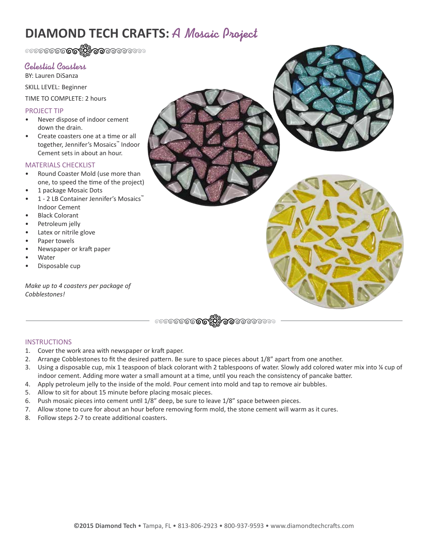# **DIAMOND TECH CRAFTS:** A Mosaic Project

# Celestial Coasters

BY: Lauren DiSanza

SKILL LEVEL: Beginner

TIME TO COMPLETE: 2 hours

## PROJECT TIP

- Never dispose of indoor cement down the drain.
- Create coasters one at a time or all together, Jennifer's Mosaics™ Indoor Cement sets in about an hour.

### MATERIALS CHECKLIST

- Round Coaster Mold (use more than one, to speed the time of the project)
- 1 package Mosaic Dots
- 1 2 LB Container Jennifer's Mosaics™ Indoor Cement
- **Black Colorant**
- Petroleum jelly
- Latex or nitrile glove
- Paper towels
- Newspaper or kraft paper
- **Water**
- Disposable cup

*Make up to 4 coasters per package of Cobblestones!*



### **INSTRUCTIONS**

- 1. Cover the work area with newspaper or kraft paper.
- 2. Arrange Cobblestones to fit the desired pattern. Be sure to space pieces about 1/8" apart from one another.
- 3. Using a disposable cup, mix 1 teaspoon of black colorant with 2 tablespoons of water. Slowly add colored water mix into ¼ cup of indoor cement. Adding more water a small amount at a time, until you reach the consistency of pancake batter.
- 4. Apply petroleum jelly to the inside of the mold. Pour cement into mold and tap to remove air bubbles.
- 5. Allow to sit for about 15 minute before placing mosaic pieces.
- 6. Push mosaic pieces into cement until 1/8" deep, be sure to leave 1/8" space between pieces.
- 7. Allow stone to cure for about an hour before removing form mold, the stone cement will warm as it cures.
- 8. Follow steps 2-7 to create additional coasters.